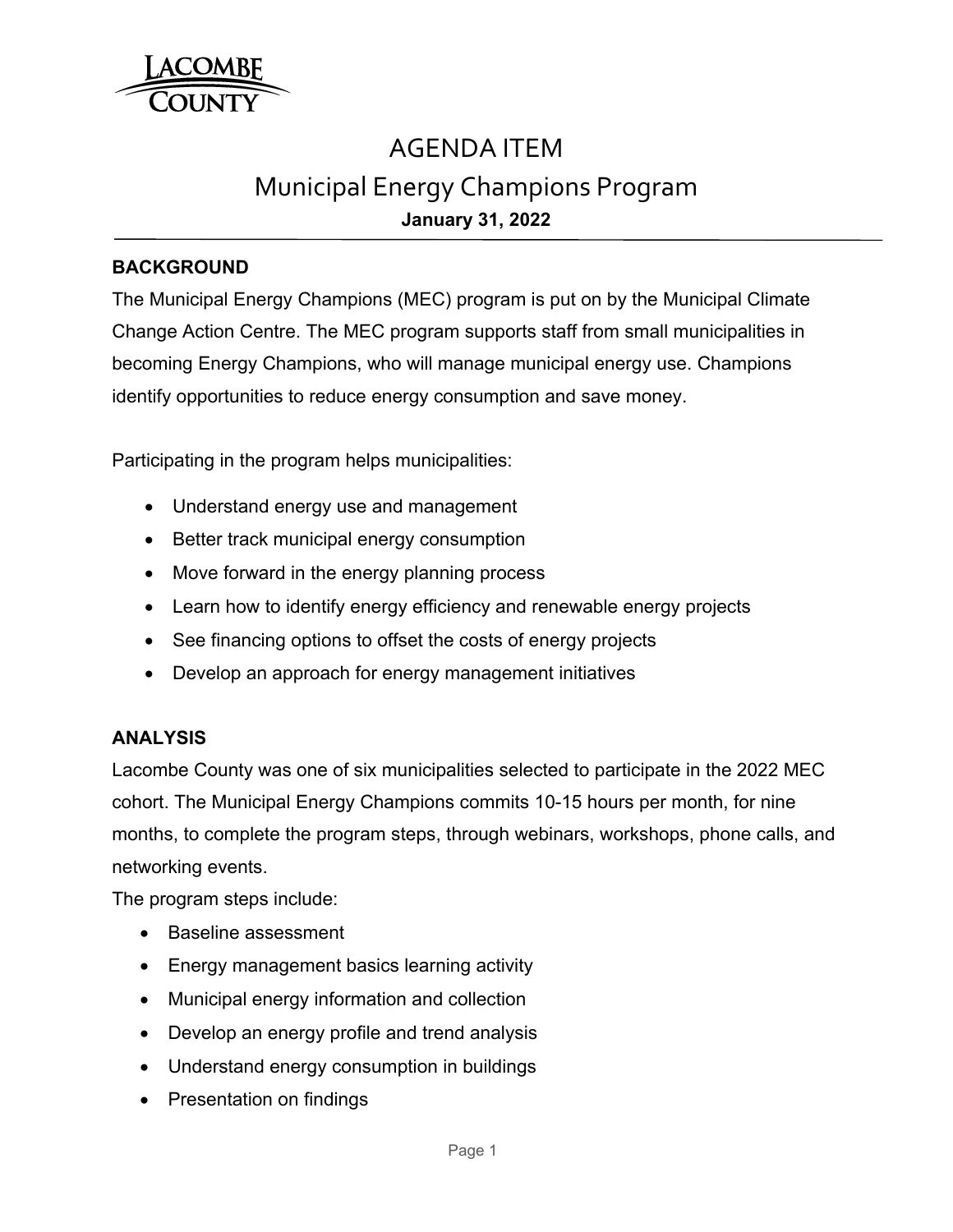

# AGENDA ITEM Municipal Energy Champions Program **January 31, 2022**

## **BACKGROUND**

The Municipal Energy Champions (MEC) program is put on by the Municipal Climate Change Action Centre. The MEC program supports staff from small municipalities in becoming Energy Champions, who will manage municipal energy use. Champions identify opportunities to reduce energy consumption and save money.

Participating in the program helps municipalities:

- Understand energy use and management
- Better track municipal energy consumption
- Move forward in the energy planning process
- Learn how to identify energy efficiency and renewable energy projects
- See financing options to offset the costs of energy projects
- Develop an approach for energy management initiatives

# **ANALYSIS**

Lacombe County was one of six municipalities selected to participate in the 2022 MEC cohort. The Municipal Energy Champions commits 10-15 hours per month, for nine months, to complete the program steps, through webinars, workshops, phone calls, and networking events.

The program steps include:

- Baseline assessment
- Energy management basics learning activity
- Municipal energy information and collection
- Develop an energy profile and trend analysis
- Understand energy consumption in buildings
- Presentation on findings